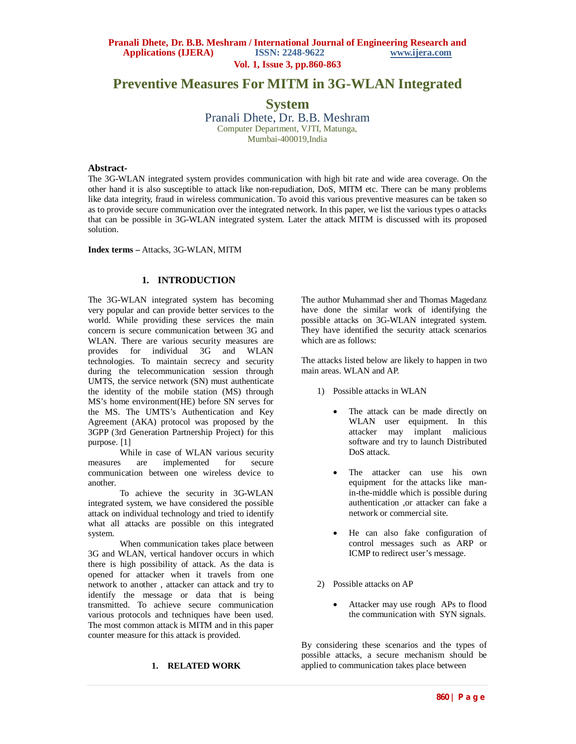# **Preventive Measures For MITM in 3G-WLAN Integrated**

**System** Pranali Dhete, Dr. B.B. Meshram Computer Department, VJTI, Matunga, Mumbai-400019,India

#### **Abstract-**

The 3G-WLAN integrated system provides communication with high bit rate and wide area coverage. On the other hand it is also susceptible to attack like non-repudiation, DoS, MITM etc. There can be many problems like data integrity, fraud in wireless communication. To avoid this various preventive measures can be taken so as to provide secure communication over the integrated network. In this paper, we list the various types o attacks that can be possible in 3G-WLAN integrated system. Later the attack MITM is discussed with its proposed solution.

#### **Index terms –** Attacks, 3G-WLAN, MITM

## **1. INTRODUCTION**

The 3G-WLAN integrated system has becoming very popular and can provide better services to the world. While providing these services the main concern is secure communication between 3G and WLAN. There are various security measures are provides for individual 3G and WLAN technologies. To maintain secrecy and security during the telecommunication session through UMTS, the service network (SN) must authenticate the identity of the mobile station (MS) through MS's home environment(HE) before SN serves for the MS. The UMTS's Authentication and Key Agreement (AKA) protocol was proposed by the 3GPP (3rd Generation Partnership Project) for this purpose. [1]

While in case of WLAN various security<br>s are implemented for secure measures are implemented communication between one wireless device to another.

To achieve the security in 3G-WLAN integrated system, we have considered the possible attack on individual technology and tried to identify what all attacks are possible on this integrated system.

When communication takes place between 3G and WLAN, vertical handover occurs in which there is high possibility of attack. As the data is opened for attacker when it travels from one network to another , attacker can attack and try to identify the message or data that is being transmitted. To achieve secure communication various protocols and techniques have been used. The most common attack is MITM and in this paper counter measure for this attack is provided.

### **1. RELATED WORK**

The author Muhammad sher and Thomas Magedanz have done the similar work of identifying the possible attacks on 3G-WLAN integrated system. They have identified the security attack scenarios which are as follows:

The attacks listed below are likely to happen in two main areas. WLAN and AP.

- 1) Possible attacks in WLAN
	- The attack can be made directly on WLAN user equipment. In this attacker may implant malicious software and try to launch Distributed DoS attack.
	- The attacker can use his own equipment for the attacks like manin-the-middle which is possible during authentication ,or attacker can fake a network or commercial site.
	- He can also fake configuration of control messages such as ARP or ICMP to redirect user's message.
- 2) Possible attacks on AP
	- Attacker may use rough APs to flood the communication with SYN signals.

By considering these scenarios and the types of possible attacks, a secure mechanism should be applied to communication takes place between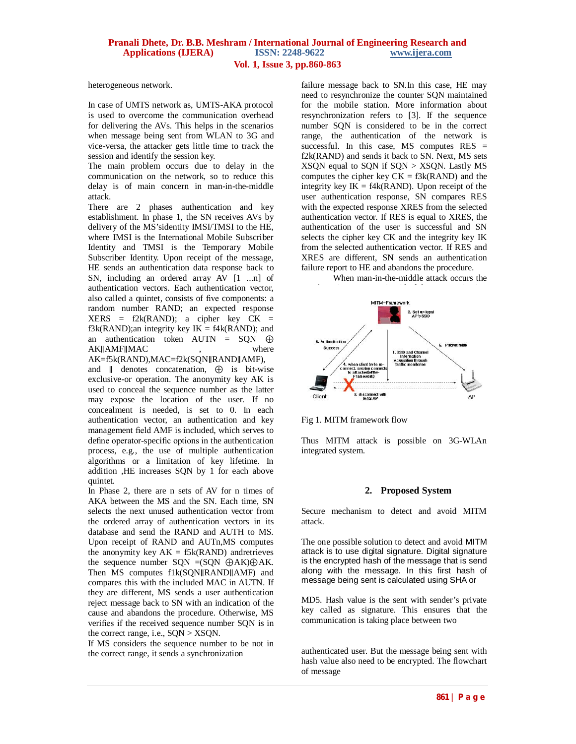#### **Pranali Dhete, Dr. B.B. Meshram / International Journal of Engineering Research and Applications (IJERA) Vol. 1, Issue 3, pp.860-863**

heterogeneous network.

In case of UMTS network as, UMTS-AKA protocol is used to overcome the communication overhead for delivering the AVs. This helps in the scenarios when message being sent from WLAN to 3G and vice-versa, the attacker gets little time to track the session and identify the session key.

The main problem occurs due to delay in the communication on the network, so to reduce this delay is of main concern in man-in-the-middle attack.

There are 2 phases authentication and key establishment. In phase 1, the SN receives AVs by delivery of the MS'sidentity IMSI/TMSI to the HE, where IMSI is the International Mobile Subscriber Identity and TMSI is the Temporary Mobile Subscriber Identity. Upon receipt of the message, HE sends an authentication data response back to SN, including an ordered array AV [1 ...n] of authentication vectors. Each authentication vector, also called a quintet, consists of five components: a random number RAND; an expected response  $XERS = f2k(RAND); a cipher key CK =$  $f3k(RAND)$ ;an integrity key  $IK = f4k(RAND)$ ; and an authentication token AUTN = SQN ⊕ AK∥AMF∥MAC , where AK=f5k(RAND),MAC=f2k(SQN∥RAND∥AMF),

and ∥ denotes concatenation, ⊕ is bit-wise exclusive-or operation. The anonymity key AK is used to conceal the sequence number as the latter may expose the location of the user. If no concealment is needed, is set to 0. In each authentication vector, an authentication and key management field AMF is included, which serves to define operator-specific options in the authentication process, e.g., the use of multiple authentication algorithms or a limitation of key lifetime. In addition ,HE increases SQN by 1 for each above quintet.

In Phase 2, there are n sets of AV for n times of AKA between the MS and the SN. Each time, SN selects the next unused authentication vector from the ordered array of authentication vectors in its database and send the RAND and AUTH to MS. Upon receipt of RAND and AUTn,MS computes the anonymity key  $AK = f5k(RAND)$  andretrieves the sequence number  $SQN = (SQN \oplus AK) \oplus AK$ . Then MS computes f1k(SQN∥RAND∥AMF) and compares this with the included MAC in AUTN. If they are different, MS sends a user authentication reject message back to SN with an indication of the cause and abandons the procedure. Otherwise, MS verifies if the received sequence number SQN is in the correct range, i.e., SQN > XSQN.

If MS considers the sequence number to be not in the correct range, it sends a synchronization

failure message back to SN.In this case, HE may need to resynchronize the counter SQN maintained for the mobile station. More information about resynchronization refers to [3]. If the sequence number SQN is considered to be in the correct range, the authentication of the network is successful. In this case, MS computes  $RES =$ f2k(RAND) and sends it back to SN. Next, MS sets XSQN equal to SQN if SQN > XSQN. Lastly MS computes the cipher key  $CK = f3k(RAND)$  and the integrity key  $IK = f4k(RAND)$ . Upon receipt of the user authentication response, SN compares RES with the expected response XRES from the selected authentication vector. If RES is equal to XRES, the authentication of the user is successful and SN selects the cipher key CK and the integrity key IK from the selected authentication vector. If RES and XRES are different, SN sends an authentication failure report to HE and abandons the procedure.

When man-in-the-middle attack occurs the



Fig 1. MITM framework flow

Thus MITM attack is possible on 3G-WLAn integrated system.

#### **2. Proposed System**

Secure mechanism to detect and avoid MITM attack.

The one possible solution to detect and avoid MITM attack is to use digital signature. Digital signature is the encrypted hash of the message that is send along with the message. In this first hash of message being sent is calculated using SHA or

MD5. Hash value is the sent with sender's private key called as signature. This ensures that the communication is taking place between two

authenticated user. But the message being sent with hash value also need to be encrypted. The flowchart of message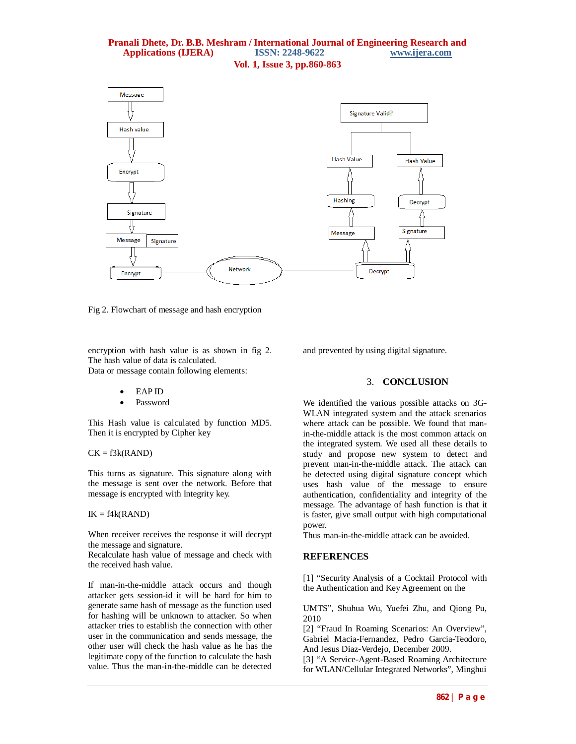#### **Pranali Dhete, Dr. B.B. Meshram / International Journal of Engineering Research and <br>Applications (IJERA)** ISSN: 2248-9622 www.ijera.com **Applications (IJERA) Vol. 1, Issue 3, pp.860-863**



Fig 2. Flowchart of message and hash encryption

encryption with hash value is as shown in fig 2. The hash value of data is calculated. Data or message contain following elements:

- EAP ID
- Password

This Hash value is calculated by function MD5. Then it is encrypted by Cipher key

#### $CK = f3k(RAND)$

This turns as signature. This signature along with the message is sent over the network. Before that message is encrypted with Integrity key.

#### $IK = f4k(RAND)$

When receiver receives the response it will decrypt the message and signature.

Recalculate hash value of message and check with the received hash value.

If man-in-the-middle attack occurs and though attacker gets session-id it will be hard for him to generate same hash of message as the function used for hashing will be unknown to attacker. So when attacker tries to establish the connection with other user in the communication and sends message, the other user will check the hash value as he has the legitimate copy of the function to calculate the hash value. Thus the man-in-the-middle can be detected

and prevented by using digital signature.

## 3. **CONCLUSION**

We identified the various possible attacks on 3G-WLAN integrated system and the attack scenarios where attack can be possible. We found that manin-the-middle attack is the most common attack on the integrated system. We used all these details to study and propose new system to detect and prevent man-in-the-middle attack. The attack can be detected using digital signature concept which uses hash value of the message to ensure authentication, confidentiality and integrity of the message. The advantage of hash function is that it is faster, give small output with high computational power.

Thus man-in-the-middle attack can be avoided.

## **REFERENCES**

[1] "Security Analysis of a Cocktail Protocol with the Authentication and Key Agreement on the

UMTS", Shuhua Wu, Yuefei Zhu, and Qiong Pu, 2010

[2] "Fraud In Roaming Scenarios: An Overview", Gabriel Macia-Fernandez, Pedro Garcia-Teodoro, And Jesus Diaz-Verdejo, December 2009.

[3] "A Service-Agent-Based Roaming Architecture for WLAN/Cellular Integrated Networks", Minghui